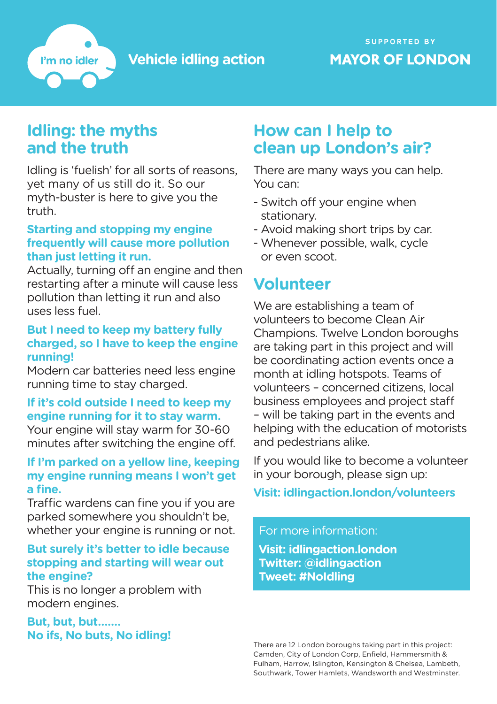**Vehicle idling action**

### **SUPPORTED BY MAYOR OF LONDON**

### **Idling: the myths and the truth**

I'm no idler

Idling is 'fuelish' for all sorts of reasons, yet many of us still do it. So our myth-buster is here to give you the truth.

#### **Starting and stopping my engine frequently will cause more pollution than just letting it run.**

Actually, turning off an engine and then restarting after a minute will cause less pollution than letting it run and also uses less fuel.

#### **But I need to keep my battery fully charged, so I have to keep the engine running!**

Modern car batteries need less engine running time to stay charged.

### **If it's cold outside I need to keep my engine running for it to stay warm.**

Your engine will stay warm for 30-60 minutes after switching the engine off.

#### **If I'm parked on a yellow line, keeping my engine running means I won't get a fine.**

Traffic wardens can fine you if you are parked somewhere you shouldn't be, whether your engine is running or not.

#### **But surely it's better to idle because stopping and starting will wear out the engine?**

This is no longer a problem with modern engines.

#### **But, but, but……. No ifs, No buts, No idling!**

## **How can I help to clean up London's air?**

There are many ways you can help. You can:

- Switch off your engine when stationary.
- Avoid making short trips by car.
- Whenever possible, walk, cycle or even scoot.

# **Volunteer**

We are establishing a team of volunteers to become Clean Air Champions. Twelve London boroughs are taking part in this project and will be coordinating action events once a month at idling hotspots. Teams of volunteers – concerned citizens, local business employees and project staff – will be taking part in the events and helping with the education of motorists and pedestrians alike.

If you would like to become a volunteer in your borough, please sign up:

### **Visit: idlingaction.london/volunteers**

For more information: **Visit: idlingaction.london Twitter: @idlingaction Tweet: #NoIdling**

There are 12 London boroughs taking part in this project: Camden, City of London Corp, Enfield, Hammersmith & Fulham, Harrow, Islington, Kensington & Chelsea, Lambeth, Southwark, Tower Hamlets, Wandsworth and Westminster.